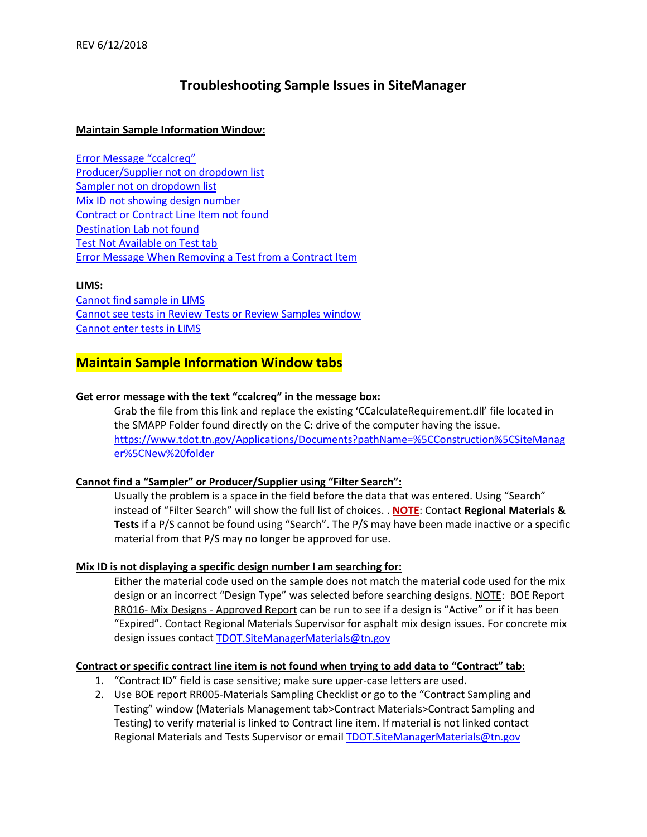# **Troubleshooting Sample Issues in SiteManager**

### **Maintain Sample Information Window:**

[Error Message "ccalcreq"](#page-0-0) [Producer/Supplier not on](#page-0-1) dropdown list [Sampler not on](#page-0-1) dropdown list [Mix ID not showing design number](#page-0-2) [Contract or Contract Line Item not found](#page-0-3) [Destination Lab not found](#page-1-0) [Test Not Available on Test tab](#page-1-1) [Error Message When Removing a Test from a Contract Item](#page-1-2)

#### **LIMS:**

[Cannot find sample in LIMS](#page-1-3) [Cannot see tests in Review Tests or Review Samples window](#page-2-0) [Cannot enter tests in LIMS](#page-2-1)

# **Maintain Sample Information Window tabs**

#### <span id="page-0-0"></span>**Get error message with the text "ccalcreq" in the message box:**

Grab the file from this link and replace the existing 'CCalculateRequirement.dll' file located in the SMAPP Folder found directly on the C: drive of the computer having the issue. [https://www.tdot.tn.gov/Applications/Documents?pathName=%5CConstruction%5CSiteManag](https://www.tdot.tn.gov/Applications/Documents?pathName=%5CConstruction%5CSiteManager%5CNew%20folder) [er%5CNew%20folder](https://www.tdot.tn.gov/Applications/Documents?pathName=%5CConstruction%5CSiteManager%5CNew%20folder)

# <span id="page-0-1"></span>**Cannot find a "Sampler" or Producer/Supplier using "Filter Search":**

Usually the problem is a space in the field before the data that was entered. Using "Search" instead of "Filter Search" will show the full list of choices. . **NOTE**: Contact **Regional Materials & Tests** if a P/S cannot be found using "Search". The P/S may have been made inactive or a specific material from that P/S may no longer be approved for use.

# <span id="page-0-2"></span>**Mix ID is not displaying a specific design number I am searching for:**

Either the material code used on the sample does not match the material code used for the mix design or an incorrect "Design Type" was selected before searching designs. NOTE: BOE Report RR016- Mix Designs - Approved Report can be run to see if a design is "Active" or if it has been "Expired". Contact Regional Materials Supervisor for asphalt mix design issues. For concrete mix design issues contact **TDOT.SiteManagerMaterials@tn.gov** 

#### <span id="page-0-3"></span>**Contract or specific contract line item is not found when trying to add data to "Contract" tab:**

- 1. "Contract ID" field is case sensitive; make sure upper-case letters are used.
- 2. Use BOE report RR005-Materials Sampling Checklist or go to the "Contract Sampling and Testing" window (Materials Management tab>Contract Materials>Contract Sampling and Testing) to verify material is linked to Contract line item. If material is not linked contact Regional Materials and Tests Supervisor or email TDOT. SiteManagerMaterials@tn.gov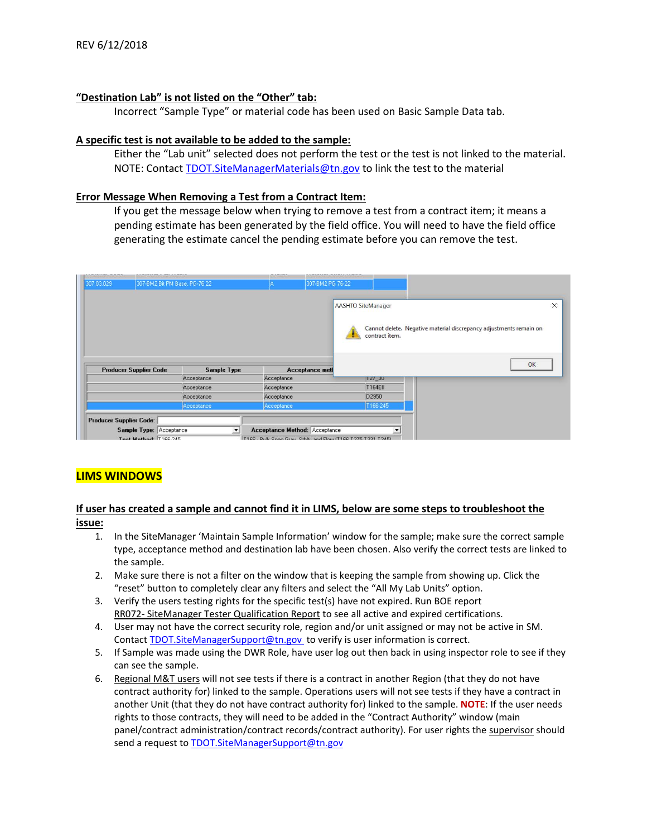#### <span id="page-1-0"></span>**"Destination Lab" is not listed on the "Other" tab:**

Incorrect "Sample Type" or material code has been used on Basic Sample Data tab.

#### <span id="page-1-1"></span>**A specific test is not available to be added to the sample:**

Either the "Lab unit" selected does not perform the test or the test is not linked to the material. NOTE: Contact **TDOT.SiteManagerMaterials@tn.gov** to link the test to the material

#### <span id="page-1-2"></span>**Error Message When Removing a Test from a Contract Item:**

If you get the message below when trying to remove a test from a contract item; it means a pending estimate has been generated by the field office. You will need to have the field office generating the estimate cancel the pending estimate before you can remove the test.

|                               | 307-BM2 Bit PM Base, PG-76 22 | 307-BM2 PG 76-22       |                           |                                                                    |          |
|-------------------------------|-------------------------------|------------------------|---------------------------|--------------------------------------------------------------------|----------|
|                               |                               | <b>Acceptance metl</b> | <b>AASHTO SiteManager</b> | Cannot delete. Negative material discrepancy adjustments remain on | $\times$ |
| <b>Producer Supplier Code</b> | Sample Type                   |                        | contract item.            | OK                                                                 |          |
|                               | Acceptance                    | Acceptance             | $ 127 - 30 $              |                                                                    |          |
|                               | Acceptance                    | Acceptance             | <b>T164EII</b>            |                                                                    |          |
|                               |                               |                        |                           |                                                                    |          |
|                               | Acceptance                    | Acceptance             | D2950                     |                                                                    |          |

# **LIMS WINDOWS**

# <span id="page-1-3"></span>**If user has created a sample and cannot find it in LIMS, below are some steps to troubleshoot the issue:**

- 1. In the SiteManager 'Maintain Sample Information' window for the sample; make sure the correct sample type, acceptance method and destination lab have been chosen. Also verify the correct tests are linked to the sample.
- 2. Make sure there is not a filter on the window that is keeping the sample from showing up. Click the "reset" button to completely clear any filters and select the "All My Lab Units" option.
- 3. Verify the users testing rights for the specific test(s) have not expired. Run BOE report RR072- SiteManager Tester Qualification Report to see all active and expired certifications.
- 4. User may not have the correct security role, region and/or unit assigned or may not be active in SM. Contact **TDOT.SiteManagerSupport@tn.gov** to verify is user information is correct.
- 5. If Sample was made using the DWR Role, have user log out then back in using inspector role to see if they can see the sample.
- 6. Regional M&T users will not see tests if there is a contract in another Region (that they do not have contract authority for) linked to the sample. Operations users will not see tests if they have a contract in another Unit (that they do not have contract authority for) linked to the sample. **NOTE**: If the user needs rights to those contracts, they will need to be added in the "Contract Authority" window (main panel/contract administration/contract records/contract authority). For user rights the supervisor should send a request to **TDOT.SiteManagerSupport@tn.gov**